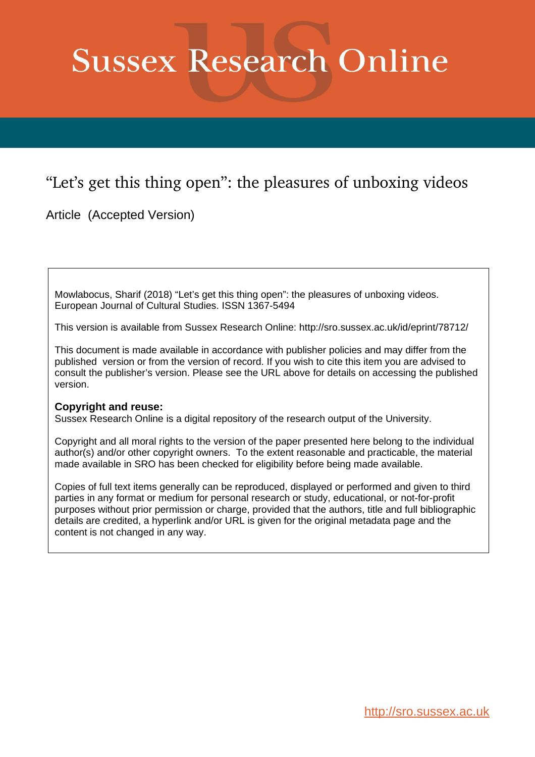# **Sussex Research Online**

# "Let's get this thing open": the pleasures of unboxing videos

Article (Accepted Version)

Mowlabocus, Sharif (2018) "Let's get this thing open": the pleasures of unboxing videos. European Journal of Cultural Studies. ISSN 1367-5494

This version is available from Sussex Research Online: http://sro.sussex.ac.uk/id/eprint/78712/

This document is made available in accordance with publisher policies and may differ from the published version or from the version of record. If you wish to cite this item you are advised to consult the publisher's version. Please see the URL above for details on accessing the published version.

## **Copyright and reuse:**

Sussex Research Online is a digital repository of the research output of the University.

Copyright and all moral rights to the version of the paper presented here belong to the individual author(s) and/or other copyright owners. To the extent reasonable and practicable, the material made available in SRO has been checked for eligibility before being made available.

Copies of full text items generally can be reproduced, displayed or performed and given to third parties in any format or medium for personal research or study, educational, or not-for-profit purposes without prior permission or charge, provided that the authors, title and full bibliographic details are credited, a hyperlink and/or URL is given for the original metadata page and the content is not changed in any way.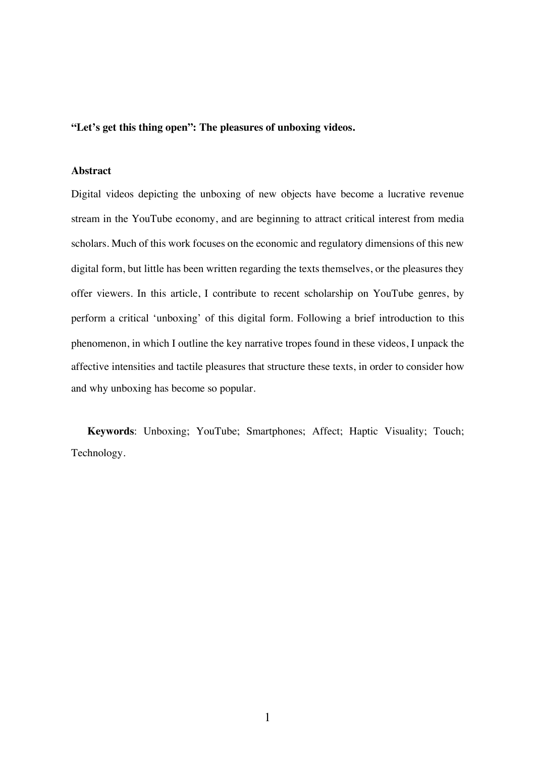**"Let's get this thing open": The pleasures of unboxing videos.** 

#### **Abstract**

Digital videos depicting the unboxing of new objects have become a lucrative revenue stream in the YouTube economy, and are beginning to attract critical interest from media scholars. Much of this work focuses on the economic and regulatory dimensions of this new digital form, but little has been written regarding the texts themselves, or the pleasures they offer viewers. In this article, I contribute to recent scholarship on YouTube genres, by perform a critical 'unboxing' of this digital form. Following a brief introduction to this phenomenon, in which I outline the key narrative tropes found in these videos, I unpack the affective intensities and tactile pleasures that structure these texts, in order to consider how and why unboxing has become so popular.

**Keywords**: Unboxing; YouTube; Smartphones; Affect; Haptic Visuality; Touch; Technology.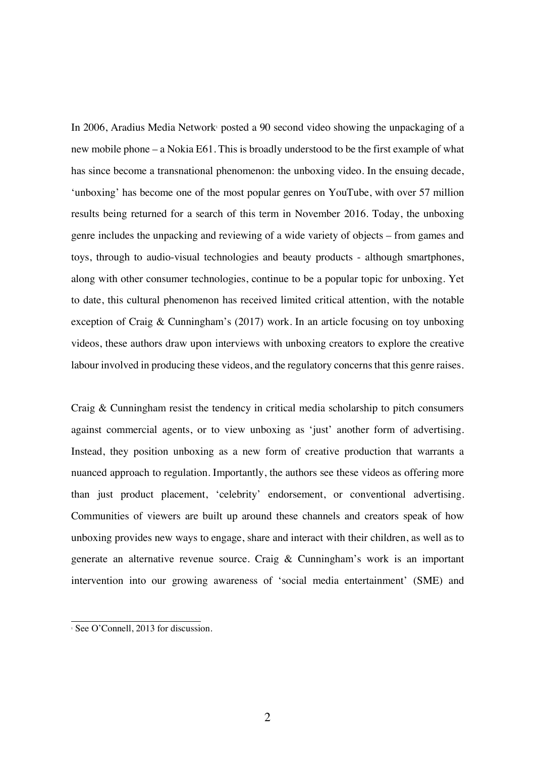In 2006, Aradius Media Network<sup>1</sup> posted a 90 second video showing the unpackaging of a new mobile phone – a Nokia E61. This is broadly understood to be the first example of what has since become a transnational phenomenon: the unboxing video. In the ensuing decade, 'unboxing' has become one of the most popular genres on YouTube, with over 57 million results being returned for a search of this term in November 2016. Today, the unboxing genre includes the unpacking and reviewing of a wide variety of objects – from games and toys, through to audio-visual technologies and beauty products - although smartphones, along with other consumer technologies, continue to be a popular topic for unboxing. Yet to date, this cultural phenomenon has received limited critical attention, with the notable exception of Craig & Cunningham's (2017) work. In an article focusing on toy unboxing videos, these authors draw upon interviews with unboxing creators to explore the creative labour involved in producing these videos, and the regulatory concerns that this genre raises.

Craig & Cunningham resist the tendency in critical media scholarship to pitch consumers against commercial agents, or to view unboxing as 'just' another form of advertising. Instead, they position unboxing as a new form of creative production that warrants a nuanced approach to regulation. Importantly, the authors see these videos as offering more than just product placement, 'celebrity' endorsement, or conventional advertising. Communities of viewers are built up around these channels and creators speak of how unboxing provides new ways to engage, share and interact with their children, as well as to generate an alternative revenue source. Craig & Cunningham's work is an important intervention into our growing awareness of 'social media entertainment' (SME) and

 $\pm$  See O'Connell, 2013 for discussion.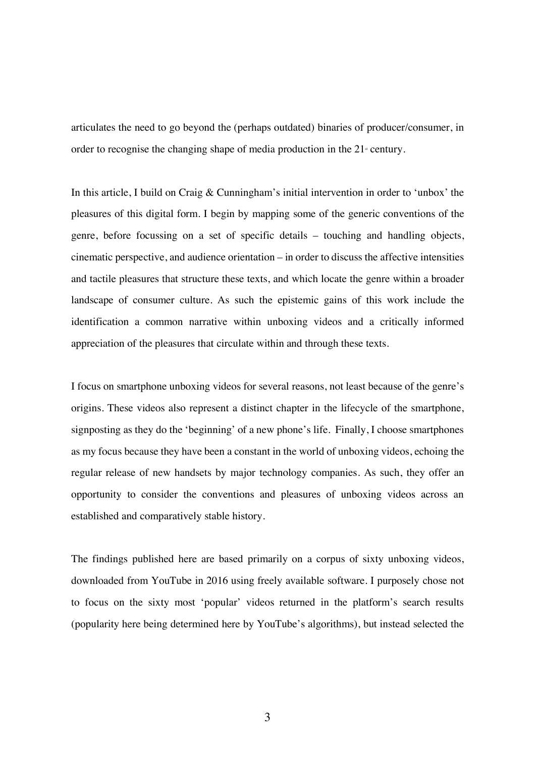articulates the need to go beyond the (perhaps outdated) binaries of producer/consumer, in order to recognise the changing shape of media production in the  $21<sup>*</sup>$  century.

In this article, I build on Craig & Cunningham's initial intervention in order to 'unbox' the pleasures of this digital form. I begin by mapping some of the generic conventions of the genre, before focussing on a set of specific details – touching and handling objects, cinematic perspective, and audience orientation – in order to discuss the affective intensities and tactile pleasures that structure these texts, and which locate the genre within a broader landscape of consumer culture. As such the epistemic gains of this work include the identification a common narrative within unboxing videos and a critically informed appreciation of the pleasures that circulate within and through these texts.

I focus on smartphone unboxing videos for several reasons, not least because of the genre's origins. These videos also represent a distinct chapter in the lifecycle of the smartphone, signposting as they do the 'beginning' of a new phone's life. Finally, I choose smartphones as my focus because they have been a constant in the world of unboxing videos, echoing the regular release of new handsets by major technology companies. As such, they offer an opportunity to consider the conventions and pleasures of unboxing videos across an established and comparatively stable history.

The findings published here are based primarily on a corpus of sixty unboxing videos, downloaded from YouTube in 2016 using freely available software. I purposely chose not to focus on the sixty most 'popular' videos returned in the platform's search results (popularity here being determined here by YouTube's algorithms), but instead selected the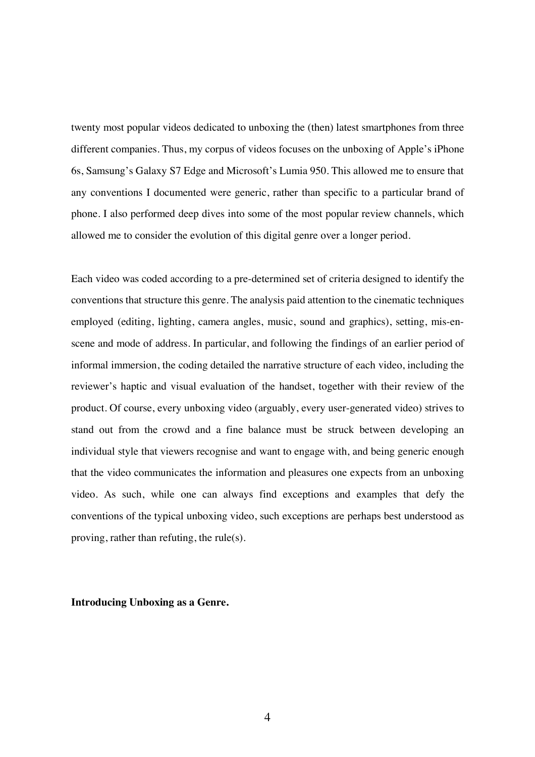twenty most popular videos dedicated to unboxing the (then) latest smartphones from three different companies. Thus, my corpus of videos focuses on the unboxing of Apple's iPhone 6s, Samsung's Galaxy S7 Edge and Microsoft's Lumia 950. This allowed me to ensure that any conventions I documented were generic, rather than specific to a particular brand of phone. I also performed deep dives into some of the most popular review channels, which allowed me to consider the evolution of this digital genre over a longer period.

Each video was coded according to a pre-determined set of criteria designed to identify the conventions that structure this genre. The analysis paid attention to the cinematic techniques employed (editing, lighting, camera angles, music, sound and graphics), setting, mis-enscene and mode of address. In particular, and following the findings of an earlier period of informal immersion, the coding detailed the narrative structure of each video, including the reviewer's haptic and visual evaluation of the handset, together with their review of the product. Of course, every unboxing video (arguably, every user-generated video) strives to stand out from the crowd and a fine balance must be struck between developing an individual style that viewers recognise and want to engage with, and being generic enough that the video communicates the information and pleasures one expects from an unboxing video. As such, while one can always find exceptions and examples that defy the conventions of the typical unboxing video, such exceptions are perhaps best understood as proving, rather than refuting, the rule(s).

**Introducing Unboxing as a Genre.**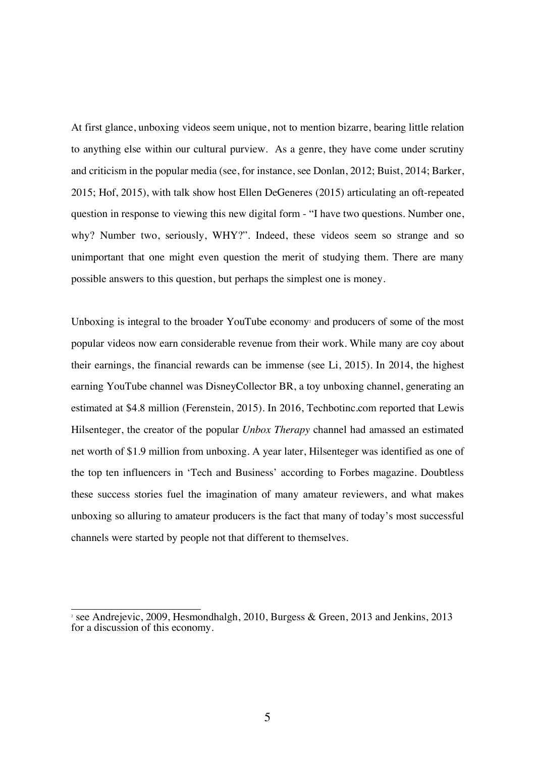At first glance, unboxing videos seem unique, not to mention bizarre, bearing little relation to anything else within our cultural purview. As a genre, they have come under scrutiny and criticism in the popular media (see, for instance, see Donlan, 2012; Buist, 2014; Barker, 2015; Hof, 2015), with talk show host Ellen DeGeneres (2015) articulating an oft-repeated question in response to viewing this new digital form - "I have two questions. Number one, why? Number two, seriously, WHY?". Indeed, these videos seem so strange and so unimportant that one might even question the merit of studying them. There are many possible answers to this question, but perhaps the simplest one is money.

Unboxing is integral to the broader YouTube economy<sup>2</sup> and producers of some of the most popular videos now earn considerable revenue from their work. While many are coy about their earnings, the financial rewards can be immense (see Li, 2015). In 2014, the highest earning YouTube channel was DisneyCollector BR, a toy unboxing channel, generating an estimated at \$4.8 million (Ferenstein, 2015). In 2016, Techbotinc.com reported that Lewis Hilsenteger, the creator of the popular *Unbox Therapy* channel had amassed an estimated net worth of \$1.9 million from unboxing. A year later, Hilsenteger was identified as one of the top ten influencers in 'Tech and Business' according to Forbes magazine. Doubtless these success stories fuel the imagination of many amateur reviewers, and what makes unboxing so alluring to amateur producers is the fact that many of today's most successful channels were started by people not that different to themselves.

<sup>&</sup>lt;sup>2</sup> see Andrejevic, 2009, Hesmondhalgh, 2010, Burgess & Green, 2013 and Jenkins, 2013 for a discussion of this economy.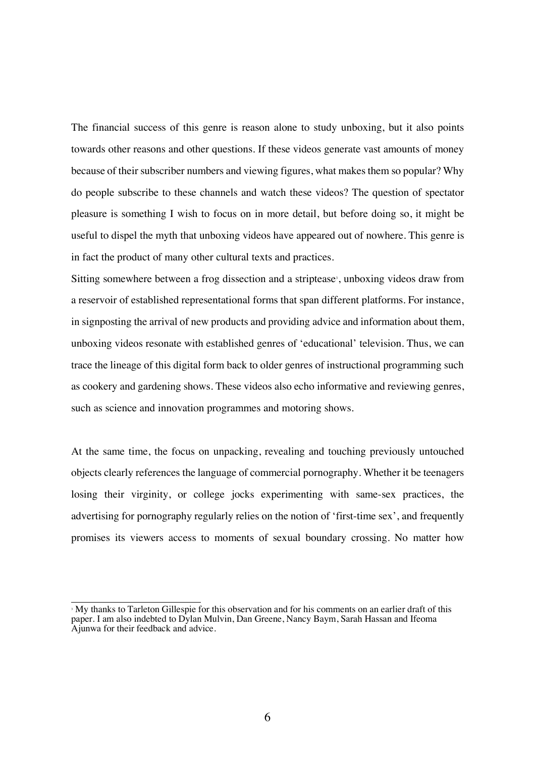The financial success of this genre is reason alone to study unboxing, but it also points towards other reasons and other questions. If these videos generate vast amounts of money because of their subscriber numbers and viewing figures, what makes them so popular? Why do people subscribe to these channels and watch these videos? The question of spectator pleasure is something I wish to focus on in more detail, but before doing so, it might be useful to dispel the myth that unboxing videos have appeared out of nowhere. This genre is in fact the product of many other cultural texts and practices.

Sitting somewhere between a frog dissection and a striptease<sup>3</sup>, unboxing videos draw from a reservoir of established representational forms that span different platforms. For instance, in signposting the arrival of new products and providing advice and information about them, unboxing videos resonate with established genres of 'educational' television. Thus, we can trace the lineage of this digital form back to older genres of instructional programming such as cookery and gardening shows. These videos also echo informative and reviewing genres, such as science and innovation programmes and motoring shows.

At the same time, the focus on unpacking, revealing and touching previously untouched objects clearly references the language of commercial pornography. Whether it be teenagers losing their virginity, or college jocks experimenting with same-sex practices, the advertising for pornography regularly relies on the notion of 'first-time sex', and frequently promises its viewers access to moments of sexual boundary crossing. No matter how

 <sup>3</sup> My thanks to Tarleton Gillespie for this observation and for his comments on an earlier draft of this paper. I am also indebted to Dylan Mulvin, Dan Greene, Nancy Baym, Sarah Hassan and Ifeoma Ajunwa for their feedback and advice.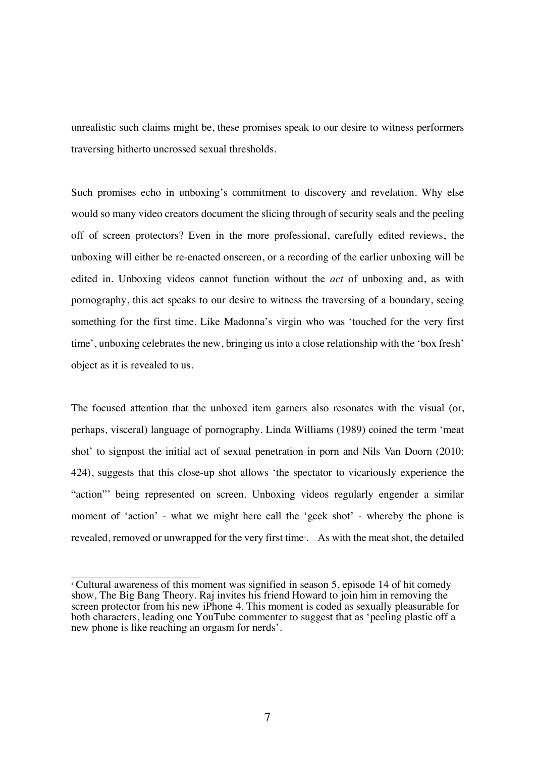unrealistic such claims might be, these promises speak to our desire to witness performers traversing hitherto uncrossed sexual thresholds.

Such promises echo in unboxing's commitment to discovery and revelation. Why else would so many video creators document the slicing through of security seals and the peeling off of screen protectors? Even in the more professional, carefully edited reviews, the unboxing will either be re-enacted onscreen, or a recording of the earlier unboxing will be edited in. Unboxing videos cannot function without the *act* of unboxing and, as with pornography, this act speaks to our desire to witness the traversing of a boundary, seeing something for the first time. Like Madonna's virgin who was 'touched for the very first time', unboxing celebrates the new, bringing us into a close relationship with the 'box fresh' object as it is revealed to us.

The focused attention that the unboxed item garners also resonates with the visual (or, perhaps, visceral) language of pornography. Linda Williams (1989) coined the term 'meat shot' to signpost the initial act of sexual penetration in porn and Nils Van Doorn (2010: 424), suggests that this close-up shot allows 'the spectator to vicariously experience the "action"' being represented on screen. Unboxing videos regularly engender a similar moment of 'action' - what we might here call the 'geek shot' - whereby the phone is revealed, removed or unwrapped for the very first time<sup>4</sup>. As with the meat shot, the detailed

 <sup>4</sup> Cultural awareness of this moment was signified in season 5, episode 14 of hit comedy show, The Big Bang Theory. Raj invites his friend Howard to join him in removing the screen protector from his new iPhone 4. This moment is coded as sexually pleasurable for both characters, leading one YouTube commenter to suggest that as 'peeling plastic off a new phone is like reaching an orgasm for nerds'.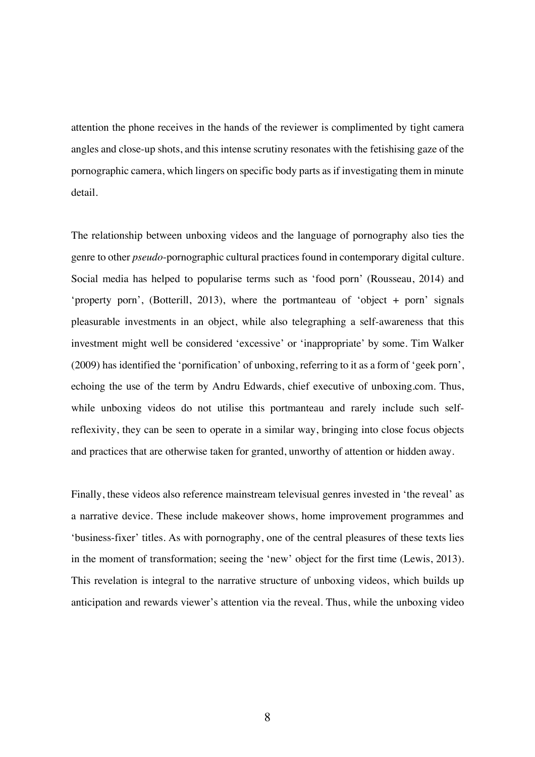attention the phone receives in the hands of the reviewer is complimented by tight camera angles and close-up shots, and this intense scrutiny resonates with the fetishising gaze of the pornographic camera, which lingers on specific body parts as if investigating them in minute detail.

The relationship between unboxing videos and the language of pornography also ties the genre to other *pseudo*-pornographic cultural practices found in contemporary digital culture. Social media has helped to popularise terms such as 'food porn' (Rousseau, 2014) and 'property porn', (Botterill, 2013), where the portmanteau of 'object + porn' signals pleasurable investments in an object, while also telegraphing a self-awareness that this investment might well be considered 'excessive' or 'inappropriate' by some. Tim Walker (2009) has identified the 'pornification' of unboxing, referring to it as a form of 'geek porn', echoing the use of the term by Andru Edwards, chief executive of unboxing.com. Thus, while unboxing videos do not utilise this portmanteau and rarely include such selfreflexivity, they can be seen to operate in a similar way, bringing into close focus objects and practices that are otherwise taken for granted, unworthy of attention or hidden away.

Finally, these videos also reference mainstream televisual genres invested in 'the reveal' as a narrative device. These include makeover shows, home improvement programmes and 'business-fixer' titles. As with pornography, one of the central pleasures of these texts lies in the moment of transformation; seeing the 'new' object for the first time (Lewis, 2013). This revelation is integral to the narrative structure of unboxing videos, which builds up anticipation and rewards viewer's attention via the reveal. Thus, while the unboxing video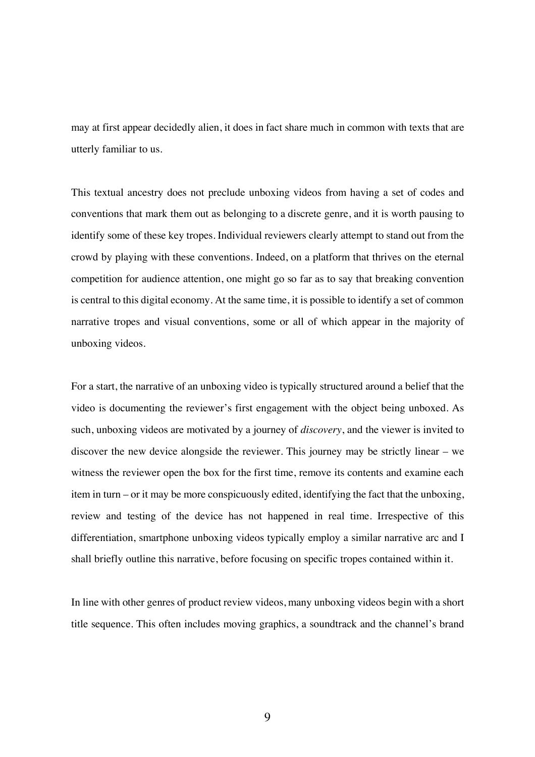may at first appear decidedly alien, it does in fact share much in common with texts that are utterly familiar to us.

This textual ancestry does not preclude unboxing videos from having a set of codes and conventions that mark them out as belonging to a discrete genre, and it is worth pausing to identify some of these key tropes. Individual reviewers clearly attempt to stand out from the crowd by playing with these conventions. Indeed, on a platform that thrives on the eternal competition for audience attention, one might go so far as to say that breaking convention is central to this digital economy. At the same time, it is possible to identify a set of common narrative tropes and visual conventions, some or all of which appear in the majority of unboxing videos.

For a start, the narrative of an unboxing video is typically structured around a belief that the video is documenting the reviewer's first engagement with the object being unboxed. As such, unboxing videos are motivated by a journey of *discovery*, and the viewer is invited to discover the new device alongside the reviewer. This journey may be strictly linear – we witness the reviewer open the box for the first time, remove its contents and examine each item in turn – or it may be more conspicuously edited, identifying the fact that the unboxing, review and testing of the device has not happened in real time. Irrespective of this differentiation, smartphone unboxing videos typically employ a similar narrative arc and I shall briefly outline this narrative, before focusing on specific tropes contained within it.

In line with other genres of product review videos, many unboxing videos begin with a short title sequence. This often includes moving graphics, a soundtrack and the channel's brand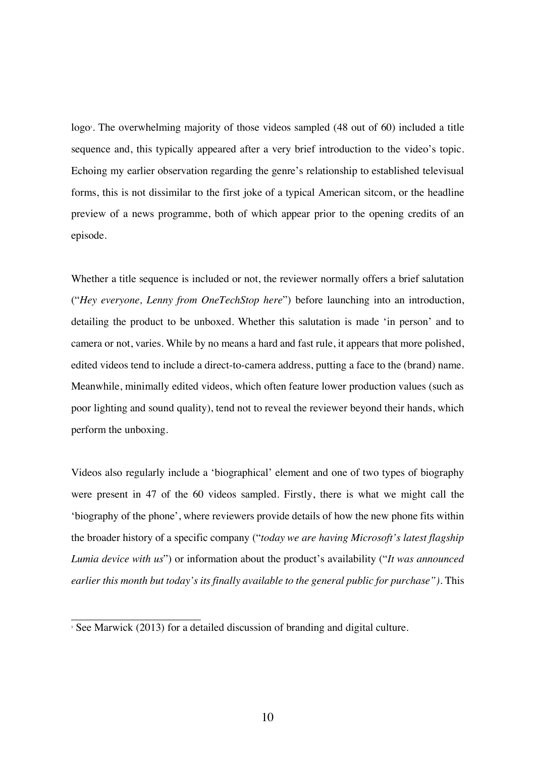logo<sup>5</sup>. The overwhelming majority of those videos sampled (48 out of 60) included a title sequence and, this typically appeared after a very brief introduction to the video's topic. Echoing my earlier observation regarding the genre's relationship to established televisual forms, this is not dissimilar to the first joke of a typical American sitcom, or the headline preview of a news programme, both of which appear prior to the opening credits of an episode.

Whether a title sequence is included or not, the reviewer normally offers a brief salutation ("*Hey everyone, Lenny from OneTechStop here*") before launching into an introduction, detailing the product to be unboxed. Whether this salutation is made 'in person' and to camera or not, varies. While by no means a hard and fast rule, it appears that more polished, edited videos tend to include a direct-to-camera address, putting a face to the (brand) name. Meanwhile, minimally edited videos, which often feature lower production values (such as poor lighting and sound quality), tend not to reveal the reviewer beyond their hands, which perform the unboxing.

Videos also regularly include a 'biographical' element and one of two types of biography were present in 47 of the 60 videos sampled. Firstly, there is what we might call the 'biography of the phone', where reviewers provide details of how the new phone fits within the broader history of a specific company ("*today we are having Microsoft's latest flagship Lumia device with us*") or information about the product's availability ("*It was announced earlier this month but today's its finally available to the general public for purchase").* This

 <sup>5</sup> See Marwick (2013) for a detailed discussion of branding and digital culture.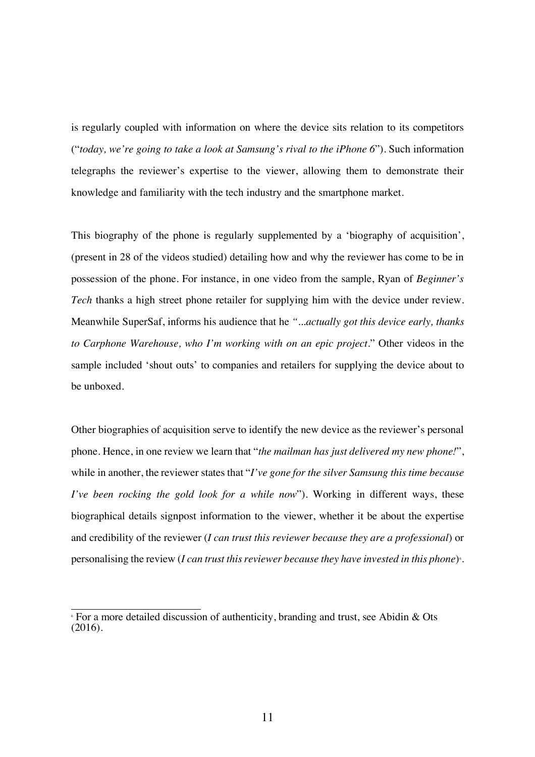is regularly coupled with information on where the device sits relation to its competitors ("*today, we're going to take a look at Samsung's rival to the iPhone 6*"). Such information telegraphs the reviewer's expertise to the viewer, allowing them to demonstrate their knowledge and familiarity with the tech industry and the smartphone market.

This biography of the phone is regularly supplemented by a 'biography of acquisition', (present in 28 of the videos studied) detailing how and why the reviewer has come to be in possession of the phone. For instance, in one video from the sample, Ryan of *Beginner's Tech* thanks a high street phone retailer for supplying him with the device under review. Meanwhile SuperSaf, informs his audience that he *"...actually got this device early, thanks to Carphone Warehouse, who I'm working with on an epic project*." Other videos in the sample included 'shout outs' to companies and retailers for supplying the device about to be unboxed.

Other biographies of acquisition serve to identify the new device as the reviewer's personal phone. Hence, in one review we learn that "*the mailman has just delivered my new phone!*", while in another, the reviewer states that "*I've gone for the silver Samsung this time because I've been rocking the gold look for a while now*"). Working in different ways, these biographical details signpost information to the viewer, whether it be about the expertise and credibility of the reviewer (*I can trust this reviewer because they are a professional*) or personalising the review (*I can trust this reviewer because they have invested in this phone*)<sup>6</sup>.

 <sup>6</sup> For a more detailed discussion of authenticity, branding and trust, see Abidin & Ots (2016).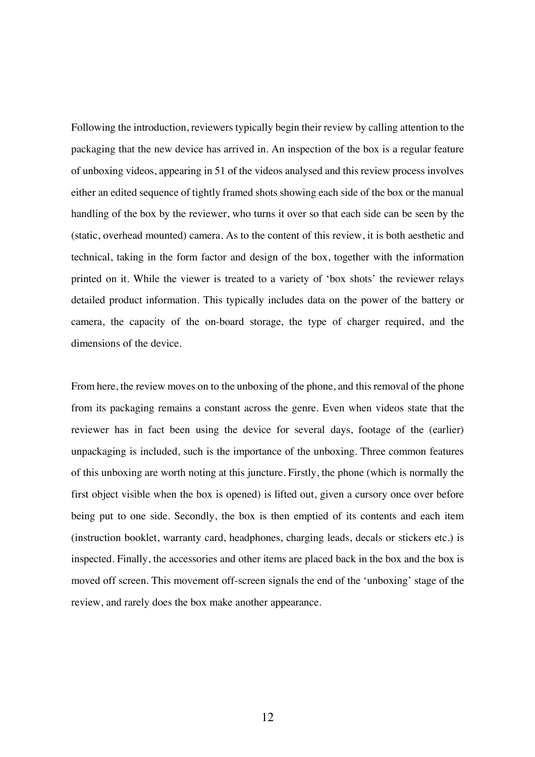Following the introduction, reviewers typically begin their review by calling attention to the packaging that the new device has arrived in. An inspection of the box is a regular feature of unboxing videos, appearing in 51 of the videos analysed and this review process involves either an edited sequence of tightly framed shots showing each side of the box or the manual handling of the box by the reviewer, who turns it over so that each side can be seen by the (static, overhead mounted) camera. As to the content of this review, it is both aesthetic and technical, taking in the form factor and design of the box, together with the information printed on it. While the viewer is treated to a variety of 'box shots' the reviewer relays detailed product information. This typically includes data on the power of the battery or camera, the capacity of the on-board storage, the type of charger required, and the dimensions of the device.

From here, the review moves on to the unboxing of the phone, and this removal of the phone from its packaging remains a constant across the genre. Even when videos state that the reviewer has in fact been using the device for several days, footage of the (earlier) unpackaging is included, such is the importance of the unboxing. Three common features of this unboxing are worth noting at this juncture. Firstly, the phone (which is normally the first object visible when the box is opened) is lifted out, given a cursory once over before being put to one side. Secondly, the box is then emptied of its contents and each item (instruction booklet, warranty card, headphones, charging leads, decals or stickers etc.) is inspected. Finally, the accessories and other items are placed back in the box and the box is moved off screen. This movement off-screen signals the end of the 'unboxing' stage of the review, and rarely does the box make another appearance.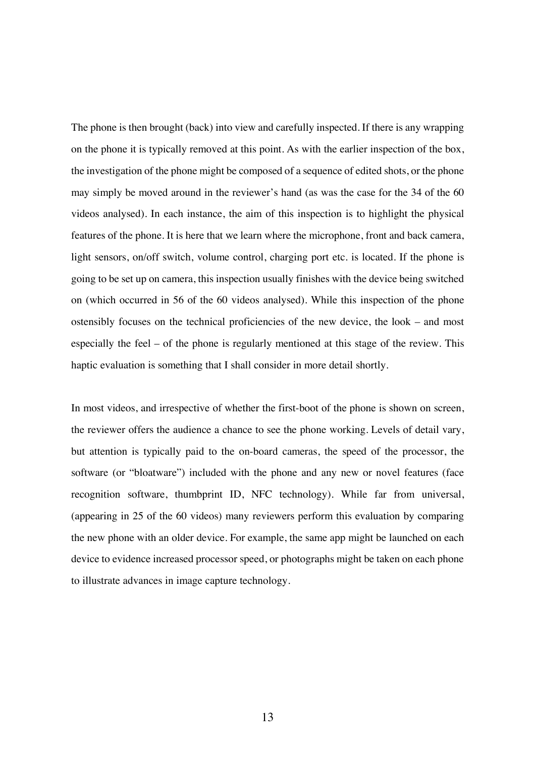The phone is then brought (back) into view and carefully inspected. If there is any wrapping on the phone it is typically removed at this point. As with the earlier inspection of the box, the investigation of the phone might be composed of a sequence of edited shots, or the phone may simply be moved around in the reviewer's hand (as was the case for the 34 of the 60 videos analysed). In each instance, the aim of this inspection is to highlight the physical features of the phone. It is here that we learn where the microphone, front and back camera, light sensors, on/off switch, volume control, charging port etc. is located. If the phone is going to be set up on camera, this inspection usually finishes with the device being switched on (which occurred in 56 of the 60 videos analysed). While this inspection of the phone ostensibly focuses on the technical proficiencies of the new device, the look – and most especially the feel – of the phone is regularly mentioned at this stage of the review. This haptic evaluation is something that I shall consider in more detail shortly.

In most videos, and irrespective of whether the first-boot of the phone is shown on screen, the reviewer offers the audience a chance to see the phone working. Levels of detail vary, but attention is typically paid to the on-board cameras, the speed of the processor, the software (or "bloatware") included with the phone and any new or novel features (face recognition software, thumbprint ID, NFC technology). While far from universal, (appearing in 25 of the 60 videos) many reviewers perform this evaluation by comparing the new phone with an older device. For example, the same app might be launched on each device to evidence increased processor speed, or photographs might be taken on each phone to illustrate advances in image capture technology.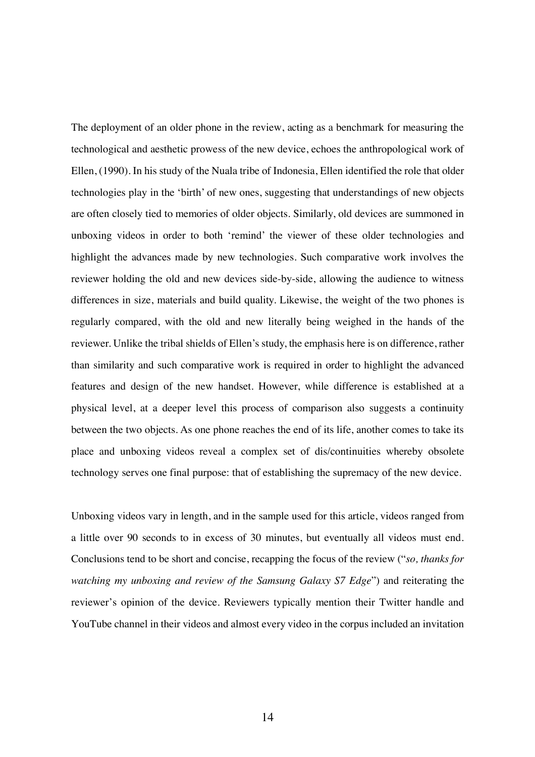The deployment of an older phone in the review, acting as a benchmark for measuring the technological and aesthetic prowess of the new device, echoes the anthropological work of Ellen, (1990). In his study of the Nuala tribe of Indonesia, Ellen identified the role that older technologies play in the 'birth' of new ones, suggesting that understandings of new objects are often closely tied to memories of older objects. Similarly, old devices are summoned in unboxing videos in order to both 'remind' the viewer of these older technologies and highlight the advances made by new technologies. Such comparative work involves the reviewer holding the old and new devices side-by-side, allowing the audience to witness differences in size, materials and build quality. Likewise, the weight of the two phones is regularly compared, with the old and new literally being weighed in the hands of the reviewer. Unlike the tribal shields of Ellen's study, the emphasis here is on difference, rather than similarity and such comparative work is required in order to highlight the advanced features and design of the new handset. However, while difference is established at a physical level, at a deeper level this process of comparison also suggests a continuity between the two objects. As one phone reaches the end of its life, another comes to take its place and unboxing videos reveal a complex set of dis/continuities whereby obsolete technology serves one final purpose: that of establishing the supremacy of the new device.

Unboxing videos vary in length, and in the sample used for this article, videos ranged from a little over 90 seconds to in excess of 30 minutes, but eventually all videos must end. Conclusions tend to be short and concise, recapping the focus of the review ("*so, thanks for watching my unboxing and review of the Samsung Galaxy S7 Edge*") and reiterating the reviewer's opinion of the device. Reviewers typically mention their Twitter handle and YouTube channel in their videos and almost every video in the corpus included an invitation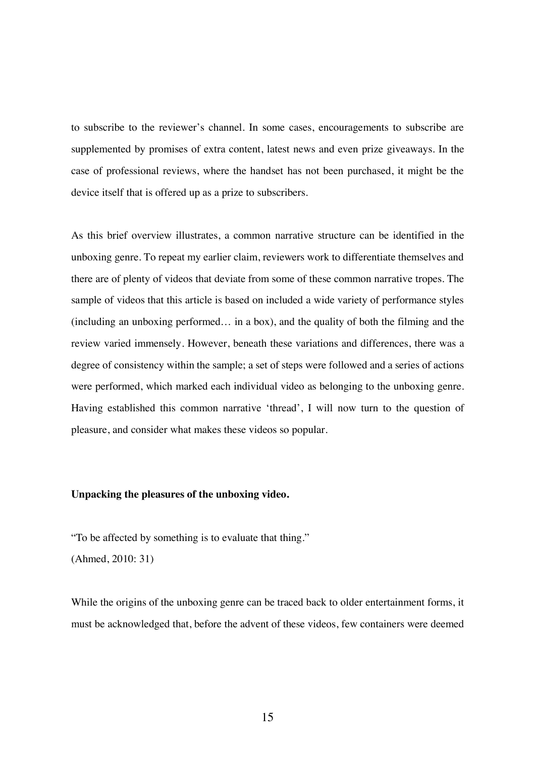to subscribe to the reviewer's channel. In some cases, encouragements to subscribe are supplemented by promises of extra content, latest news and even prize giveaways. In the case of professional reviews, where the handset has not been purchased, it might be the device itself that is offered up as a prize to subscribers.

As this brief overview illustrates, a common narrative structure can be identified in the unboxing genre. To repeat my earlier claim, reviewers work to differentiate themselves and there are of plenty of videos that deviate from some of these common narrative tropes. The sample of videos that this article is based on included a wide variety of performance styles (including an unboxing performed… in a box), and the quality of both the filming and the review varied immensely. However, beneath these variations and differences, there was a degree of consistency within the sample; a set of steps were followed and a series of actions were performed, which marked each individual video as belonging to the unboxing genre. Having established this common narrative 'thread', I will now turn to the question of pleasure, and consider what makes these videos so popular.

#### **Unpacking the pleasures of the unboxing video.**

"To be affected by something is to evaluate that thing."

(Ahmed, 2010: 31)

While the origins of the unboxing genre can be traced back to older entertainment forms, it must be acknowledged that, before the advent of these videos, few containers were deemed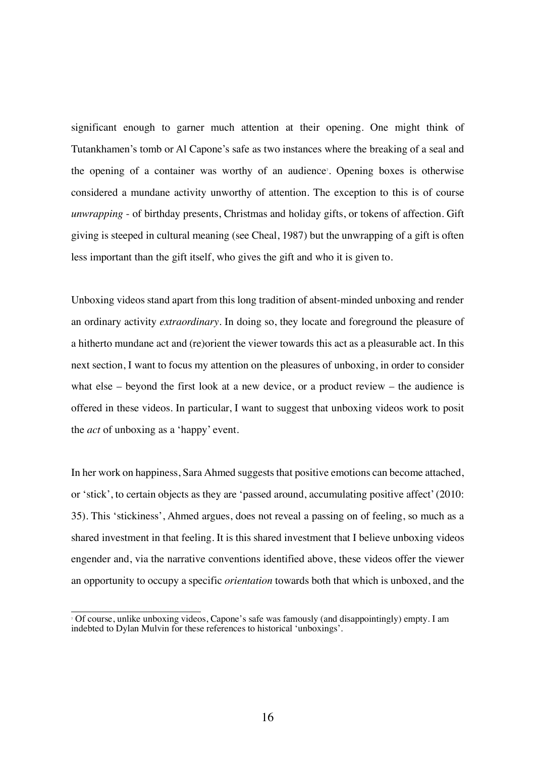significant enough to garner much attention at their opening. One might think of Tutankhamen's tomb or Al Capone's safe as two instances where the breaking of a seal and the opening of a container was worthy of an audience<sup>7</sup>. Opening boxes is otherwise considered a mundane activity unworthy of attention. The exception to this is of course *unwrapping* - of birthday presents, Christmas and holiday gifts, or tokens of affection. Gift giving is steeped in cultural meaning (see Cheal, 1987) but the unwrapping of a gift is often less important than the gift itself, who gives the gift and who it is given to.

Unboxing videos stand apart from this long tradition of absent-minded unboxing and render an ordinary activity *extraordinary*. In doing so, they locate and foreground the pleasure of a hitherto mundane act and (re)orient the viewer towards this act as a pleasurable act. In this next section, I want to focus my attention on the pleasures of unboxing, in order to consider what else – beyond the first look at a new device, or a product review – the audience is offered in these videos. In particular, I want to suggest that unboxing videos work to posit the *act* of unboxing as a 'happy' event.

In her work on happiness, Sara Ahmed suggests that positive emotions can become attached, or 'stick', to certain objects as they are 'passed around, accumulating positive affect' (2010: 35). This 'stickiness', Ahmed argues, does not reveal a passing on of feeling, so much as a shared investment in that feeling. It is this shared investment that I believe unboxing videos engender and, via the narrative conventions identified above, these videos offer the viewer an opportunity to occupy a specific *orientation* towards both that which is unboxed, and the

<sup>&</sup>lt;sup>7</sup> Of course, unlike unboxing videos, Capone's safe was famously (and disappointingly) empty. I am indebted to Dylan Mulvin for these references to historical 'unboxings'.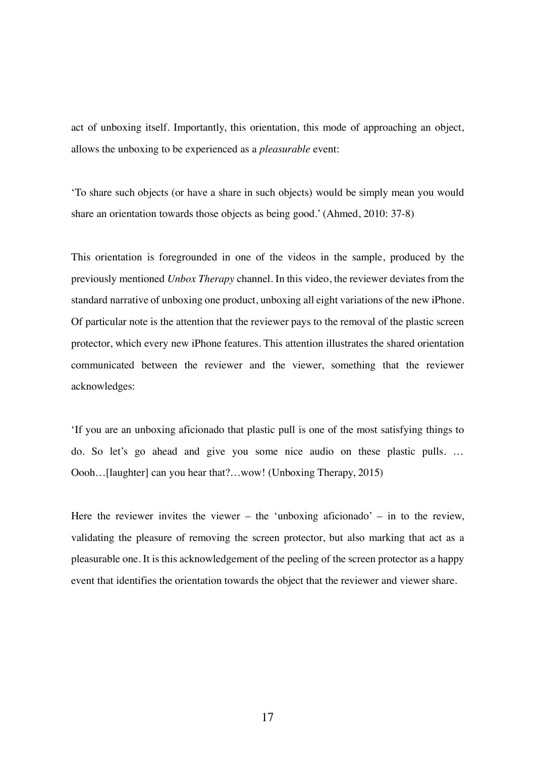act of unboxing itself. Importantly, this orientation, this mode of approaching an object, allows the unboxing to be experienced as a *pleasurable* event:

'To share such objects (or have a share in such objects) would be simply mean you would share an orientation towards those objects as being good.' (Ahmed, 2010: 37-8)

This orientation is foregrounded in one of the videos in the sample, produced by the previously mentioned *Unbox Therapy* channel. In this video, the reviewer deviates from the standard narrative of unboxing one product, unboxing all eight variations of the new iPhone. Of particular note is the attention that the reviewer pays to the removal of the plastic screen protector, which every new iPhone features. This attention illustrates the shared orientation communicated between the reviewer and the viewer, something that the reviewer acknowledges:

'If you are an unboxing aficionado that plastic pull is one of the most satisfying things to do. So let's go ahead and give you some nice audio on these plastic pulls. … Oooh…[laughter] can you hear that?…wow! (Unboxing Therapy, 2015)

Here the reviewer invites the viewer – the 'unboxing aficionado' – in to the review, validating the pleasure of removing the screen protector, but also marking that act as a pleasurable one. It is this acknowledgement of the peeling of the screen protector as a happy event that identifies the orientation towards the object that the reviewer and viewer share.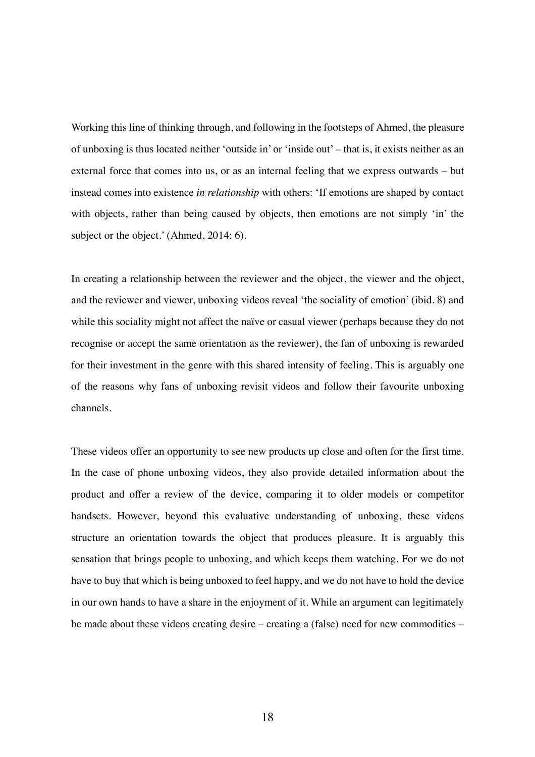Working this line of thinking through, and following in the footsteps of Ahmed, the pleasure of unboxing is thus located neither 'outside in' or 'inside out' – that is, it exists neither as an external force that comes into us, or as an internal feeling that we express outwards – but instead comes into existence *in relationship* with others: 'If emotions are shaped by contact with objects, rather than being caused by objects, then emotions are not simply 'in' the subject or the object.' (Ahmed, 2014: 6).

In creating a relationship between the reviewer and the object, the viewer and the object, and the reviewer and viewer, unboxing videos reveal 'the sociality of emotion' (ibid. 8) and while this sociality might not affect the naïve or casual viewer (perhaps because they do not recognise or accept the same orientation as the reviewer), the fan of unboxing is rewarded for their investment in the genre with this shared intensity of feeling. This is arguably one of the reasons why fans of unboxing revisit videos and follow their favourite unboxing channels.

These videos offer an opportunity to see new products up close and often for the first time. In the case of phone unboxing videos, they also provide detailed information about the product and offer a review of the device, comparing it to older models or competitor handsets. However, beyond this evaluative understanding of unboxing, these videos structure an orientation towards the object that produces pleasure. It is arguably this sensation that brings people to unboxing, and which keeps them watching. For we do not have to buy that which is being unboxed to feel happy, and we do not have to hold the device in our own hands to have a share in the enjoyment of it. While an argument can legitimately be made about these videos creating desire – creating a (false) need for new commodities –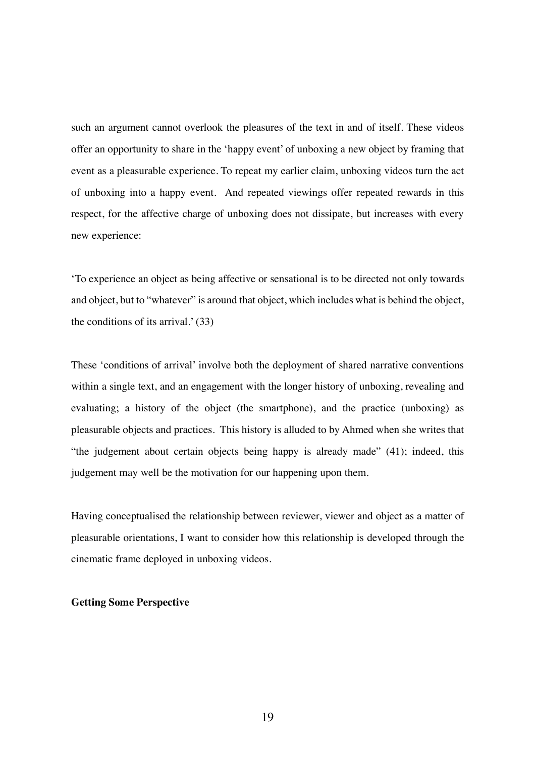such an argument cannot overlook the pleasures of the text in and of itself. These videos offer an opportunity to share in the 'happy event' of unboxing a new object by framing that event as a pleasurable experience. To repeat my earlier claim, unboxing videos turn the act of unboxing into a happy event. And repeated viewings offer repeated rewards in this respect, for the affective charge of unboxing does not dissipate, but increases with every new experience:

'To experience an object as being affective or sensational is to be directed not only towards and object, but to "whatever" is around that object, which includes what is behind the object, the conditions of its arrival.' (33)

These 'conditions of arrival' involve both the deployment of shared narrative conventions within a single text, and an engagement with the longer history of unboxing, revealing and evaluating; a history of the object (the smartphone), and the practice (unboxing) as pleasurable objects and practices. This history is alluded to by Ahmed when she writes that "the judgement about certain objects being happy is already made" (41); indeed, this judgement may well be the motivation for our happening upon them.

Having conceptualised the relationship between reviewer, viewer and object as a matter of pleasurable orientations, I want to consider how this relationship is developed through the cinematic frame deployed in unboxing videos.

#### **Getting Some Perspective**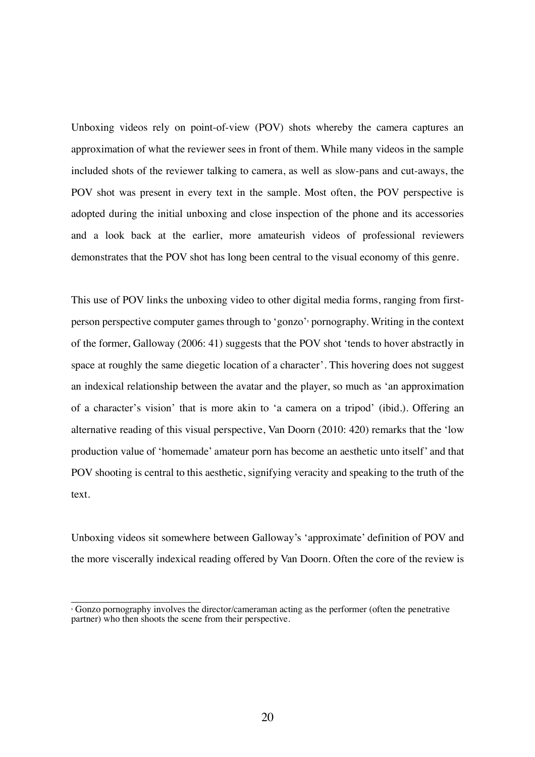Unboxing videos rely on point-of-view (POV) shots whereby the camera captures an approximation of what the reviewer sees in front of them. While many videos in the sample included shots of the reviewer talking to camera, as well as slow-pans and cut-aways, the POV shot was present in every text in the sample. Most often, the POV perspective is adopted during the initial unboxing and close inspection of the phone and its accessories and a look back at the earlier, more amateurish videos of professional reviewers demonstrates that the POV shot has long been central to the visual economy of this genre.

This use of POV links the unboxing video to other digital media forms, ranging from firstperson perspective computer games through to 'gonzo'8 pornography. Writing in the context of the former, Galloway (2006: 41) suggests that the POV shot 'tends to hover abstractly in space at roughly the same diegetic location of a character'. This hovering does not suggest an indexical relationship between the avatar and the player, so much as 'an approximation of a character's vision' that is more akin to 'a camera on a tripod' (ibid.). Offering an alternative reading of this visual perspective, Van Doorn (2010: 420) remarks that the 'low production value of 'homemade' amateur porn has become an aesthetic unto itself' and that POV shooting is central to this aesthetic, signifying veracity and speaking to the truth of the text.

Unboxing videos sit somewhere between Galloway's 'approximate' definition of POV and the more viscerally indexical reading offered by Van Doorn. Often the core of the review is

<sup>&</sup>lt;sup>8</sup> Gonzo pornography involves the director/cameraman acting as the performer (often the penetrative partner) who then shoots the scene from their perspective.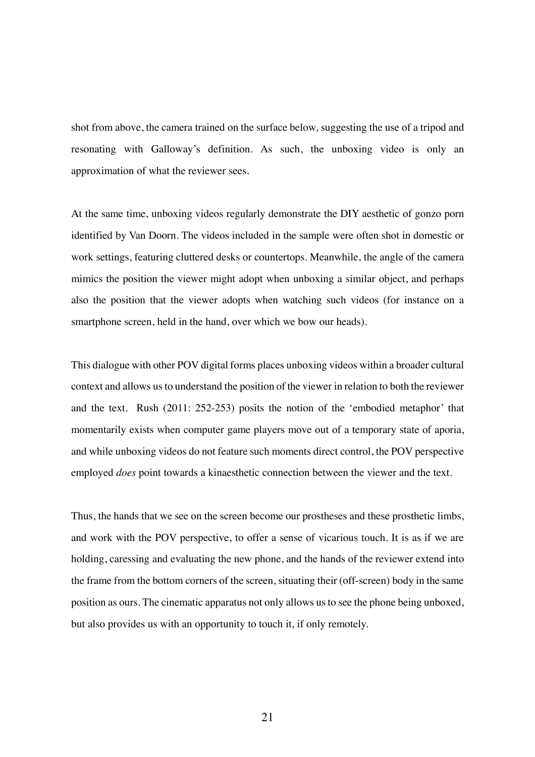shot from above, the camera trained on the surface below, suggesting the use of a tripod and resonating with Galloway's definition. As such, the unboxing video is only an approximation of what the reviewer sees.

At the same time, unboxing videos regularly demonstrate the DIY aesthetic of gonzo porn identified by Van Doorn. The videos included in the sample were often shot in domestic or work settings, featuring cluttered desks or countertops. Meanwhile, the angle of the camera mimics the position the viewer might adopt when unboxing a similar object, and perhaps also the position that the viewer adopts when watching such videos (for instance on a smartphone screen, held in the hand, over which we bow our heads).

This dialogue with other POV digital forms places unboxing videos within a broader cultural context and allows us to understand the position of the viewer in relation to both the reviewer and the text. Rush (2011: 252-253) posits the notion of the 'embodied metaphor' that momentarily exists when computer game players move out of a temporary state of aporia, and while unboxing videos do not feature such moments direct control, the POV perspective employed *does* point towards a kinaesthetic connection between the viewer and the text.

Thus, the hands that we see on the screen become our prostheses and these prosthetic limbs, and work with the POV perspective, to offer a sense of vicarious touch. It is as if we are holding, caressing and evaluating the new phone, and the hands of the reviewer extend into the frame from the bottom corners of the screen, situating their (off-screen) body in the same position as ours. The cinematic apparatus not only allows us to see the phone being unboxed, but also provides us with an opportunity to touch it, if only remotely.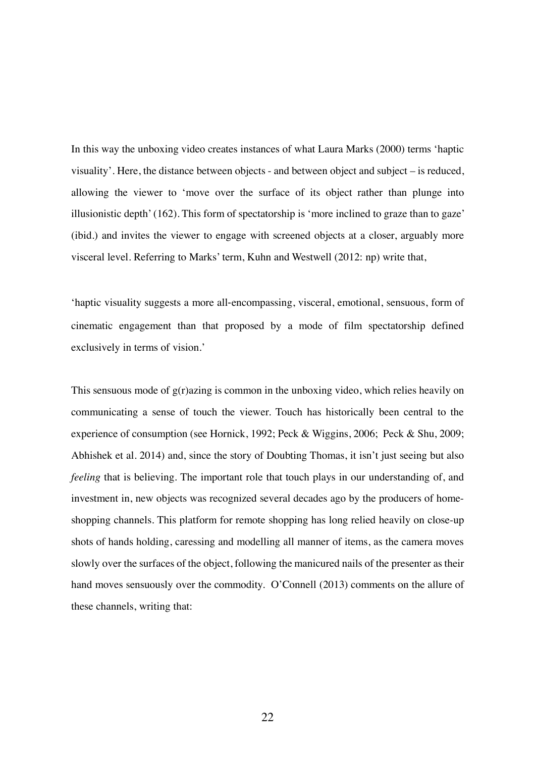In this way the unboxing video creates instances of what Laura Marks (2000) terms 'haptic visuality'. Here, the distance between objects - and between object and subject – is reduced, allowing the viewer to 'move over the surface of its object rather than plunge into illusionistic depth' (162). This form of spectatorship is 'more inclined to graze than to gaze' (ibid.) and invites the viewer to engage with screened objects at a closer, arguably more visceral level. Referring to Marks' term, Kuhn and Westwell (2012: np) write that,

'haptic visuality suggests a more all-encompassing, visceral, emotional, sensuous, form of cinematic engagement than that proposed by a mode of film spectatorship defined exclusively in terms of vision.'

This sensuous mode of  $g(r)$ azing is common in the unboxing video, which relies heavily on communicating a sense of touch the viewer. Touch has historically been central to the experience of consumption (see Hornick, 1992; Peck & Wiggins, 2006; Peck & Shu, 2009; Abhishek et al. 2014) and, since the story of Doubting Thomas, it isn't just seeing but also *feeling* that is believing. The important role that touch plays in our understanding of, and investment in, new objects was recognized several decades ago by the producers of homeshopping channels. This platform for remote shopping has long relied heavily on close-up shots of hands holding, caressing and modelling all manner of items, as the camera moves slowly over the surfaces of the object, following the manicured nails of the presenter as their hand moves sensuously over the commodity. O'Connell (2013) comments on the allure of these channels, writing that: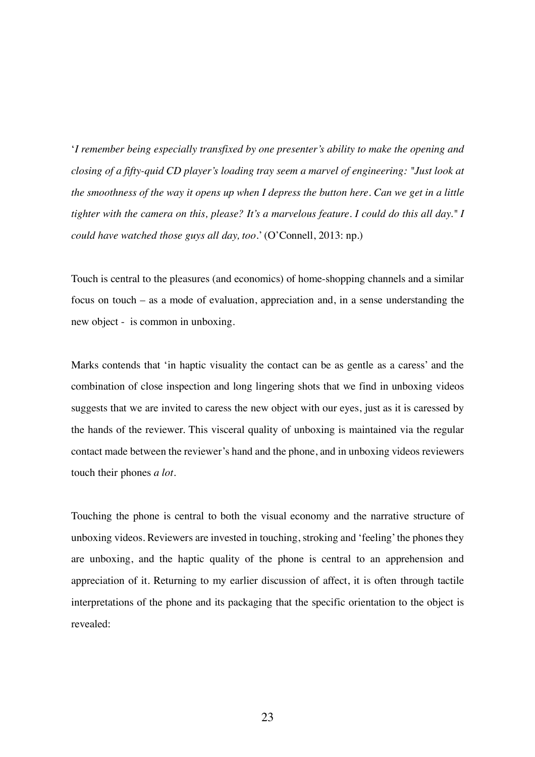'*I remember being especially transfixed by one presenter's ability to make the opening and closing of a fifty-quid CD player's loading tray seem a marvel of engineering: "Just look at the smoothness of the way it opens up when I depress the button here. Can we get in a little tighter with the camera on this, please? It's a marvelous feature. I could do this all day." I could have watched those guys all day, too.*' (O'Connell, 2013: np.)

Touch is central to the pleasures (and economics) of home-shopping channels and a similar focus on touch – as a mode of evaluation, appreciation and, in a sense understanding the new object - is common in unboxing.

Marks contends that 'in haptic visuality the contact can be as gentle as a caress' and the combination of close inspection and long lingering shots that we find in unboxing videos suggests that we are invited to caress the new object with our eyes, just as it is caressed by the hands of the reviewer. This visceral quality of unboxing is maintained via the regular contact made between the reviewer's hand and the phone, and in unboxing videos reviewers touch their phones *a lot*.

Touching the phone is central to both the visual economy and the narrative structure of unboxing videos. Reviewers are invested in touching, stroking and 'feeling' the phones they are unboxing, and the haptic quality of the phone is central to an apprehension and appreciation of it. Returning to my earlier discussion of affect, it is often through tactile interpretations of the phone and its packaging that the specific orientation to the object is revealed: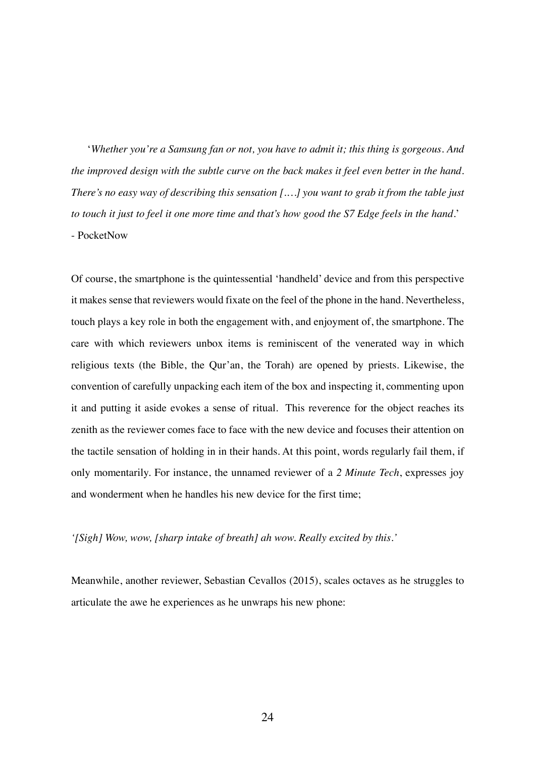'*Whether you're a Samsung fan or not, you have to admit it; this thing is gorgeous. And the improved design with the subtle curve on the back makes it feel even better in the hand. There's no easy way of describing this sensation [.…] you want to grab it from the table just to touch it just to feel it one more time and that's how good the S7 Edge feels in the hand*.' - PocketNow

Of course, the smartphone is the quintessential 'handheld' device and from this perspective it makes sense that reviewers would fixate on the feel of the phone in the hand. Nevertheless, touch plays a key role in both the engagement with, and enjoyment of, the smartphone. The care with which reviewers unbox items is reminiscent of the venerated way in which religious texts (the Bible, the Qur'an, the Torah) are opened by priests. Likewise, the convention of carefully unpacking each item of the box and inspecting it, commenting upon it and putting it aside evokes a sense of ritual. This reverence for the object reaches its zenith as the reviewer comes face to face with the new device and focuses their attention on the tactile sensation of holding in in their hands. At this point, words regularly fail them, if only momentarily. For instance, the unnamed reviewer of a *2 Minute Tech*, expresses joy and wonderment when he handles his new device for the first time;

*'[Sigh] Wow, wow, [sharp intake of breath] ah wow. Really excited by this.'*

Meanwhile, another reviewer, Sebastian Cevallos (2015), scales octaves as he struggles to articulate the awe he experiences as he unwraps his new phone: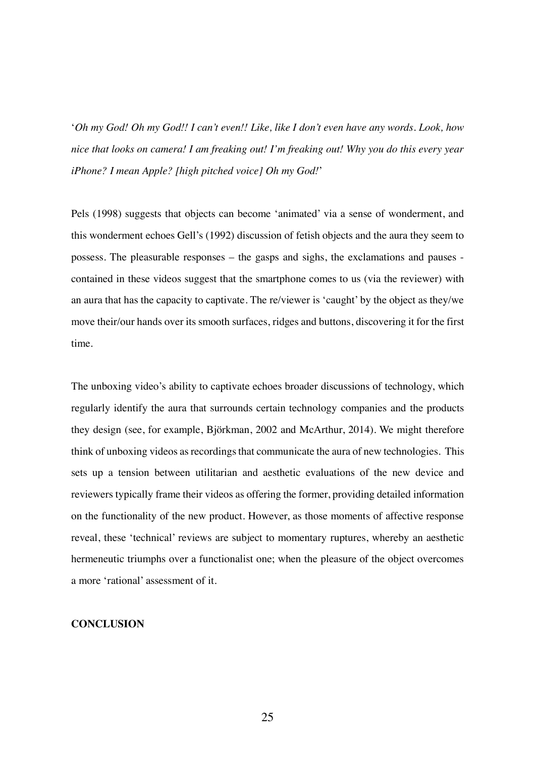'*Oh my God! Oh my God!! I can't even!! Like, like I don't even have any words. Look, how nice that looks on camera! I am freaking out! I'm freaking out! Why you do this every year iPhone? I mean Apple? [high pitched voice] Oh my God!*'

Pels (1998) suggests that objects can become 'animated' via a sense of wonderment, and this wonderment echoes Gell's (1992) discussion of fetish objects and the aura they seem to possess. The pleasurable responses – the gasps and sighs, the exclamations and pauses contained in these videos suggest that the smartphone comes to us (via the reviewer) with an aura that has the capacity to captivate. The re/viewer is 'caught' by the object as they/we move their/our hands over its smooth surfaces, ridges and buttons, discovering it for the first time.

The unboxing video's ability to captivate echoes broader discussions of technology, which regularly identify the aura that surrounds certain technology companies and the products they design (see, for example, Björkman, 2002 and McArthur, 2014). We might therefore think of unboxing videos as recordings that communicate the aura of new technologies. This sets up a tension between utilitarian and aesthetic evaluations of the new device and reviewers typically frame their videos as offering the former, providing detailed information on the functionality of the new product. However, as those moments of affective response reveal, these 'technical' reviews are subject to momentary ruptures, whereby an aesthetic hermeneutic triumphs over a functionalist one; when the pleasure of the object overcomes a more 'rational' assessment of it.

#### **CONCLUSION**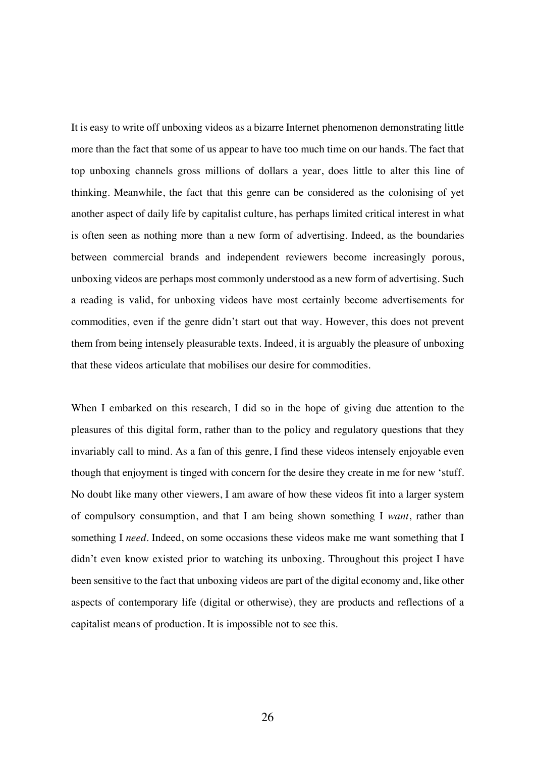It is easy to write off unboxing videos as a bizarre Internet phenomenon demonstrating little more than the fact that some of us appear to have too much time on our hands. The fact that top unboxing channels gross millions of dollars a year, does little to alter this line of thinking. Meanwhile, the fact that this genre can be considered as the colonising of yet another aspect of daily life by capitalist culture, has perhaps limited critical interest in what is often seen as nothing more than a new form of advertising. Indeed, as the boundaries between commercial brands and independent reviewers become increasingly porous, unboxing videos are perhaps most commonly understood as a new form of advertising. Such a reading is valid, for unboxing videos have most certainly become advertisements for commodities, even if the genre didn't start out that way. However, this does not prevent them from being intensely pleasurable texts. Indeed, it is arguably the pleasure of unboxing that these videos articulate that mobilises our desire for commodities.

When I embarked on this research, I did so in the hope of giving due attention to the pleasures of this digital form, rather than to the policy and regulatory questions that they invariably call to mind. As a fan of this genre, I find these videos intensely enjoyable even though that enjoyment is tinged with concern for the desire they create in me for new 'stuff. No doubt like many other viewers, I am aware of how these videos fit into a larger system of compulsory consumption, and that I am being shown something I *want*, rather than something I *need*. Indeed, on some occasions these videos make me want something that I didn't even know existed prior to watching its unboxing. Throughout this project I have been sensitive to the fact that unboxing videos are part of the digital economy and, like other aspects of contemporary life (digital or otherwise), they are products and reflections of a capitalist means of production. It is impossible not to see this.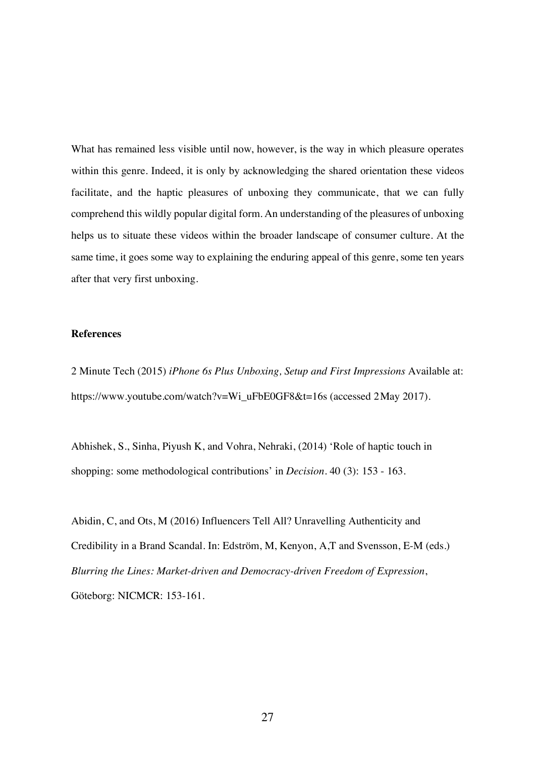What has remained less visible until now, however, is the way in which pleasure operates within this genre. Indeed, it is only by acknowledging the shared orientation these videos facilitate, and the haptic pleasures of unboxing they communicate, that we can fully comprehend this wildly popular digital form. An understanding of the pleasures of unboxing helps us to situate these videos within the broader landscape of consumer culture. At the same time, it goes some way to explaining the enduring appeal of this genre, some ten years after that very first unboxing.

### **References**

2 Minute Tech (2015) *iPhone 6s Plus Unboxing, Setup and First Impressions* Available at: https://www.youtube.com/watch?v=Wi\_uFbE0GF8&t=16s (accessed 2May 2017).

Abhishek, S., Sinha, Piyush K, and Vohra, Nehraki, (2014) 'Role of haptic touch in shopping: some methodological contributions' in *Decision*. 40 (3): 153 - 163.

Abidin, C, and Ots, M (2016) Influencers Tell All? Unravelling Authenticity and Credibility in a Brand Scandal. In: Edström, M, Kenyon, A,T and Svensson, E-M (eds.) *Blurring the Lines: Market-driven and Democracy-driven Freedom of Expression*, Göteborg: NICMCR: 153-161.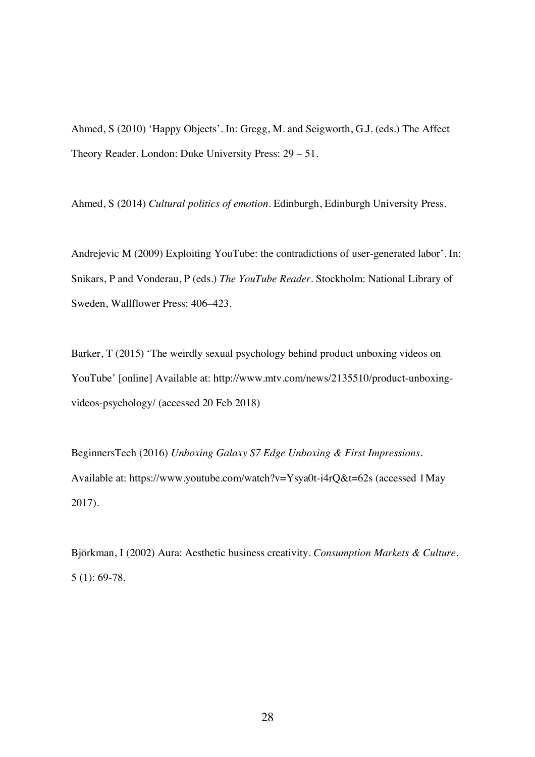Ahmed, S (2010) 'Happy Objects'. In: Gregg, M. and Seigworth, G.J. (eds.) The Affect Theory Reader. London: Duke University Press: 29 – 51.

Ahmed, S (2014) *Cultural politics of emotion*. Edinburgh, Edinburgh University Press.

Andrejevic M (2009) Exploiting YouTube: the contradictions of user-generated labor'. In: Snikars, P and Vonderau, P (eds.) *The YouTube Reader*. Stockholm: National Library of Sweden, Wallflower Press: 406–423.

Barker, T (2015) 'The weirdly sexual psychology behind product unboxing videos on YouTube' [online] Available at: http://www.mtv.com/news/2135510/product-unboxingvideos-psychology/ (accessed 20 Feb 2018)

BeginnersTech (2016) *Unboxing Galaxy S7 Edge Unboxing & First Impressions.*  Available at: https://www.youtube.com/watch?v=Ysya0t-i4rQ&t=62s (accessed 1May 2017).

Björkman, I (2002) Aura: Aesthetic business creativity. *Consumption Markets & Culture*. 5 (1): 69-78.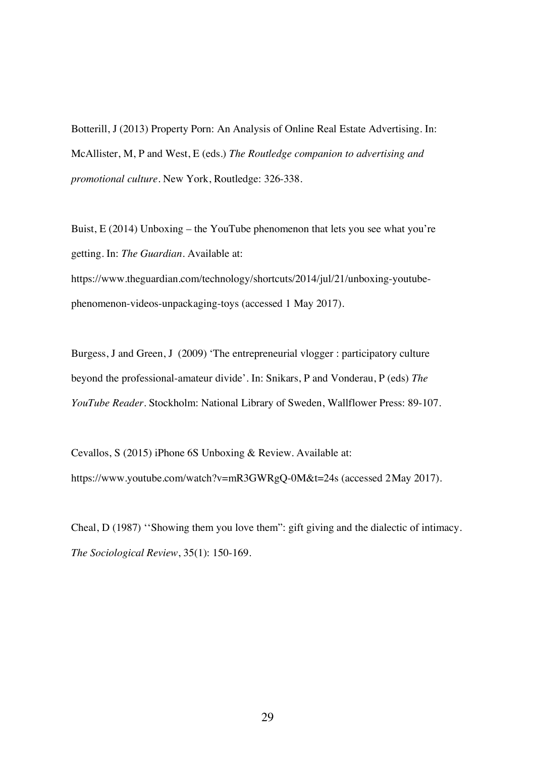Botterill, J (2013) Property Porn: An Analysis of Online Real Estate Advertising. In: McAllister, M, P and West, E (eds.) *The Routledge companion to advertising and promotional culture*. New York, Routledge: 326-338.

Buist, E (2014) Unboxing – the YouTube phenomenon that lets you see what you're getting. In: *The Guardian*. Available at: https://www.theguardian.com/technology/shortcuts/2014/jul/21/unboxing-youtubephenomenon-videos-unpackaging-toys (accessed 1 May 2017).

Burgess, J and Green, J (2009) 'The entrepreneurial vlogger : participatory culture beyond the professional-amateur divide'. In: Snikars, P and Vonderau, P (eds) *The YouTube Reader*. Stockholm: National Library of Sweden, Wallflower Press: 89-107.

Cevallos, S (2015) iPhone 6S Unboxing & Review. Available at: https://www.youtube.com/watch?v=mR3GWRgQ-0M&t=24s (accessed 2May 2017).

Cheal, D (1987) ''Showing them you love them": gift giving and the dialectic of intimacy. *The Sociological Review*, 35(1): 150-169.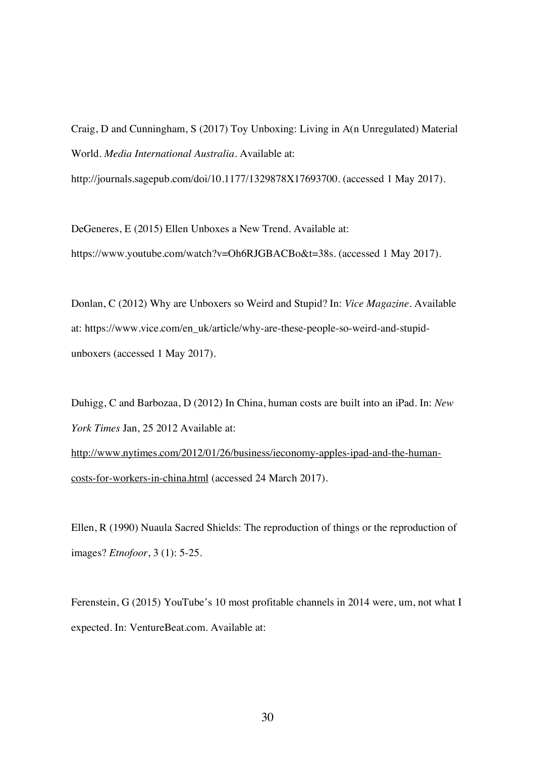Craig, D and Cunningham, S (2017) Toy Unboxing: Living in A(n Unregulated) Material World. *Media International Australia*. Available at:

http://journals.sagepub.com/doi/10.1177/1329878X17693700. (accessed 1 May 2017).

DeGeneres, E (2015) Ellen Unboxes a New Trend. Available at: https://www.youtube.com/watch?v=Oh6RJGBACBo&t=38s. (accessed 1 May 2017).

Donlan, C (2012) Why are Unboxers so Weird and Stupid? In: *Vice Magazine*. Available at: https://www.vice.com/en\_uk/article/why-are-these-people-so-weird-and-stupidunboxers (accessed 1 May 2017).

Duhigg, C and Barbozaa, D (2012) In China, human costs are built into an iPad. In: *New York Times* Jan, 25 2012 Available at: http://www.nytimes.com/2012/01/26/business/ieconomy-apples-ipad-and-the-humancosts-for-workers-in-china.html (accessed 24 March 2017).

Ellen, R (1990) Nuaula Sacred Shields: The reproduction of things or the reproduction of images? *Etnofoor*, 3 (1): 5-25.

Ferenstein, G (2015) YouTube's 10 most profitable channels in 2014 were, um, not what I expected. In: VentureBeat.com. Available at: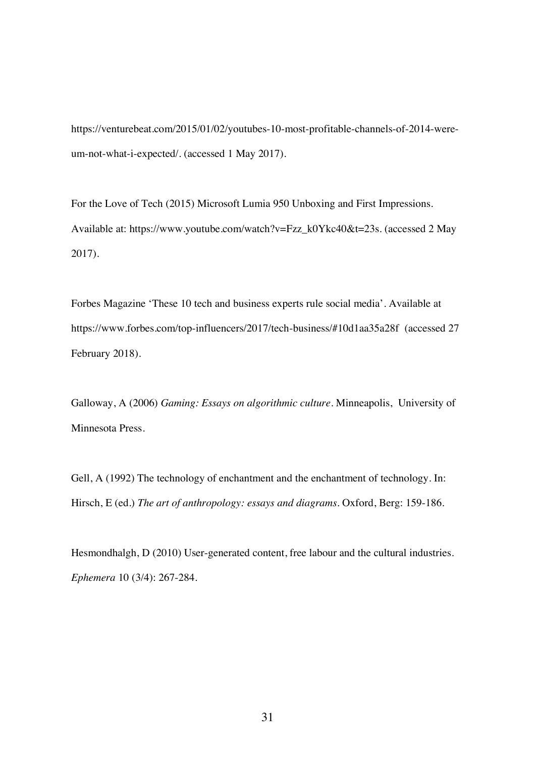https://venturebeat.com/2015/01/02/youtubes-10-most-profitable-channels-of-2014-wereum-not-what-i-expected/. (accessed 1 May 2017).

For the Love of Tech (2015) Microsoft Lumia 950 Unboxing and First Impressions. Available at: https://www.youtube.com/watch?v=Fzz\_k0Ykc40&t=23s. (accessed 2 May 2017).

Forbes Magazine 'These 10 tech and business experts rule social media'. Available at https://www.forbes.com/top-influencers/2017/tech-business/#10d1aa35a28f (accessed 27 February 2018).

Galloway, A (2006) *Gaming: Essays on algorithmic culture*. Minneapolis, University of Minnesota Press.

Gell, A (1992) The technology of enchantment and the enchantment of technology. In: Hirsch, E (ed.) *The art of anthropology: essays and diagrams*. Oxford, Berg: 159-186.

Hesmondhalgh, D (2010) User-generated content, free labour and the cultural industries. *Ephemera* 10 (3/4): 267-284.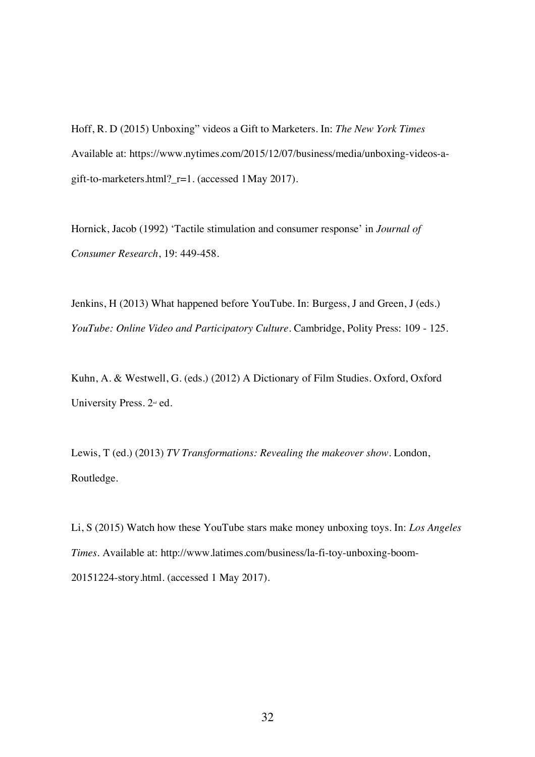Hoff, R. D (2015) Unboxing" videos a Gift to Marketers. In: *The New York Times* Available at: https://www.nytimes.com/2015/12/07/business/media/unboxing-videos-agift-to-marketers.html?\_r=1. (accessed 1May 2017).

Hornick, Jacob (1992) 'Tactile stimulation and consumer response' in *Journal of Consumer Research*, 19: 449-458.

Jenkins, H (2013) What happened before YouTube. In: Burgess, J and Green, J (eds.) *YouTube: Online Video and Participatory Culture*. Cambridge, Polity Press: 109 - 125.

Kuhn, A. & Westwell, G. (eds.) (2012) A Dictionary of Film Studies. Oxford, Oxford University Press. 2<sup>nd</sup> ed.

Lewis, T (ed.) (2013) *TV Transformations: Revealing the makeover show*. London, Routledge.

Li, S (2015) Watch how these YouTube stars make money unboxing toys. In: *Los Angeles Times.* Available at: http://www.latimes.com/business/la-fi-toy-unboxing-boom-20151224-story.html. (accessed 1 May 2017).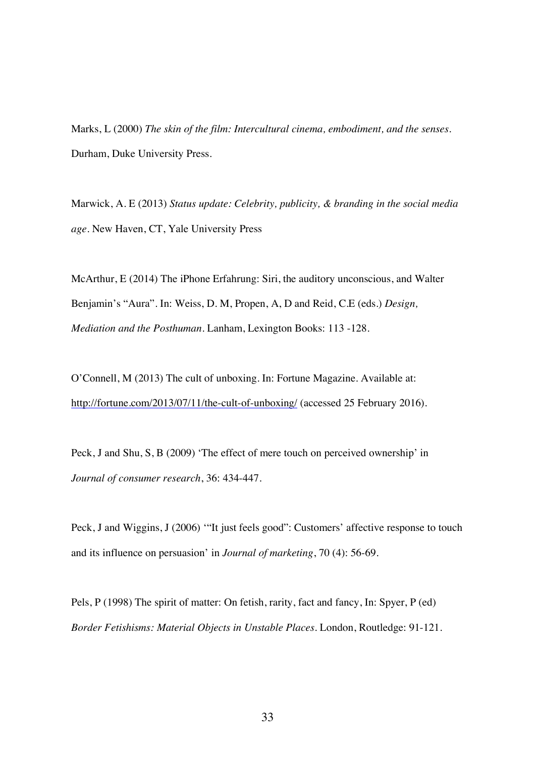Marks, L (2000) *The skin of the film: Intercultural cinema, embodiment, and the senses*. Durham, Duke University Press.

Marwick, A. E (2013) *Status update: Celebrity, publicity, & branding in the social media age*. New Haven, CT, Yale University Press

McArthur, E (2014) The iPhone Erfahrung: Siri, the auditory unconscious, and Walter Benjamin's "Aura". In: Weiss, D. M, Propen, A, D and Reid, C.E (eds.) *Design, Mediation and the Posthuman*. Lanham, Lexington Books: 113 -128.

O'Connell, M (2013) The cult of unboxing. In: Fortune Magazine. Available at: http://fortune.com/2013/07/11/the-cult-of-unboxing/ (accessed 25 February 2016).

Peck, J and Shu, S, B (2009) 'The effect of mere touch on perceived ownership' in *Journal of consumer research*, 36: 434-447.

Peck, J and Wiggins, J (2006) '"It just feels good": Customers' affective response to touch and its influence on persuasion' in *Journal of marketing*, 70 (4): 56-69.

Pels, P (1998) The spirit of matter: On fetish, rarity, fact and fancy, In: Spyer, P (ed) *Border Fetishisms: Material Objects in Unstable Places*. London, Routledge: 91-121.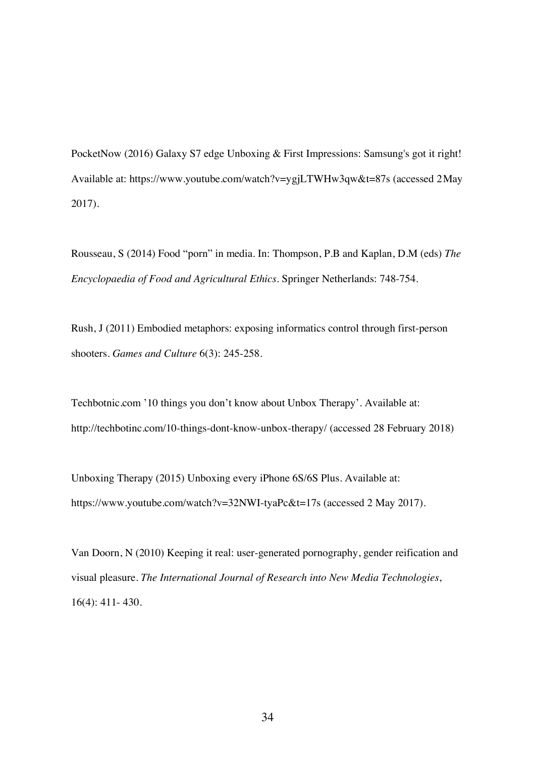PocketNow (2016) Galaxy S7 edge Unboxing & First Impressions: Samsung's got it right! Available at: https://www.youtube.com/watch?v=ygjLTWHw3qw&t=87s (accessed 2May 2017).

Rousseau, S (2014) Food "porn" in media. In: Thompson, P.B and Kaplan, D.M (eds) *The Encyclopaedia of Food and Agricultural Ethics*. Springer Netherlands: 748-754.

Rush, J (2011) Embodied metaphors: exposing informatics control through first-person shooters. *Games and Culture* 6(3): 245-258.

Techbotnic.com '10 things you don't know about Unbox Therapy'. Available at: http://techbotinc.com/10-things-dont-know-unbox-therapy/ (accessed 28 February 2018)

Unboxing Therapy (2015) Unboxing every iPhone 6S/6S Plus. Available at: https://www.youtube.com/watch?v=32NWI-tyaPc&t=17s (accessed 2 May 2017).

Van Doorn, N (2010) Keeping it real: user-generated pornography, gender reification and visual pleasure. *The International Journal of Research into New Media Technologies*, 16(4): 411- 430.